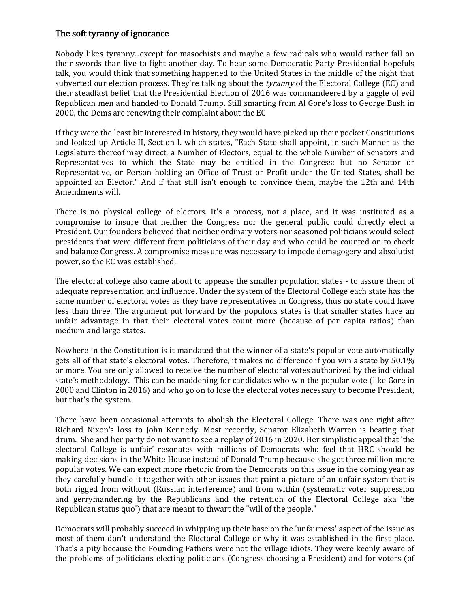## The soft tyranny of ignorance

Nobody likes tyranny...except for masochists and maybe a few radicals who would rather fall on their swords than live to fight another day. To hear some Democratic Party Presidential hopefuls talk, you would think that something happened to the United States in the middle of the night that subverted our election process. They're talking about the *tyranny* of the Electoral College (EC) and their steadfast belief that the Presidential Election of 2016 was commandeered by a gaggle of evil Republican men and handed to Donald Trump. Still smarting from Al Gore's loss to George Bush in 2000, the Dems are renewing their complaint about the EC

If they were the least bit interested in history, they would have picked up their pocket Constitutions and looked up Article II, Section I. which states, "Each State shall appoint, in such Manner as the Legislature thereof may direct, a Number of Electors, equal to the whole Number of Senators and Representatives to which the State may be entitled in the Congress: but no Senator or Representative, or Person holding an Office of Trust or Profit under the United States, shall be appointed an Elector." And if that still isn't enough to convince them, maybe the 12th and 14th Amendments will.

There is no physical college of electors. It's a process, not a place, and it was instituted as a compromise to insure that neither the Congress nor the general public could directly elect a President. Our founders believed that neither ordinary voters nor seasoned politicians would select presidents that were different from politicians of their day and who could be counted on to check and balance Congress. A compromise measure was necessary to impede demagogery and absolutist power, so the EC was established.

The electoral college also came about to appease the smaller population states - to assure them of adequate representation and influence. Under the system of the Electoral College each state has the same number of electoral votes as they have representatives in Congress, thus no state could have less than three. The argument put forward by the populous states is that smaller states have an unfair advantage in that their electoral votes count more (because of per capita ratios) than medium and large states.

Nowhere in the Constitution is it mandated that the winner of a state's popular vote automatically gets all of that state's electoral votes. Therefore, it makes no difference if you win a state by 50.1% or more. You are only allowed to receive the number of electoral votes authorized by the individual state's methodology. This can be maddening for candidates who win the popular vote (like Gore in 2000 and Clinton in 2016) and who go on to lose the electoral votes necessary to become President, but that's the system.

There have been occasional attempts to abolish the Electoral College. There was one right after Richard Nixon's loss to John Kennedy. Most recently, Senator Elizabeth Warren is beating that drum. She and her party do not want to see a replay of 2016 in 2020. Her simplistic appeal that 'the electoral College is unfair' resonates with millions of Democrats who feel that HRC should be making decisions in the White House instead of Donald Trump because she got three million more popular votes. We can expect more rhetoric from the Democrats on this issue in the coming year as they carefully bundle it together with other issues that paint a picture of an unfair system that is both rigged from without (Russian interference) and from within (systematic voter suppression and gerrymandering by the Republicans and the retention of the Electoral College aka 'the Republican status quo') that are meant to thwart the "will of the people."

Democrats will probably succeed in whipping up their base on the 'unfairness' aspect of the issue as most of them don't understand the Electoral College or why it was established in the first place. That's a pity because the Founding Fathers were not the village idiots. They were keenly aware of the problems of politicians electing politicians (Congress choosing a President) and for voters (of